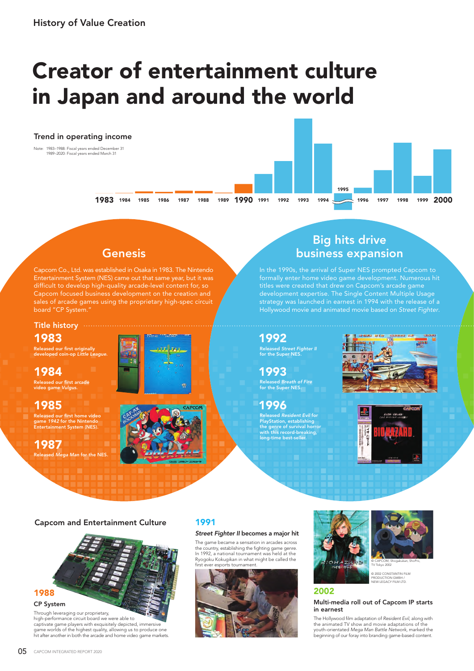# Creator of entertainment culture in Japan and around the world

## 1983 1984 1985 1986 1987 1988 1989 1990 1991 1992 1993 1994 1995 1996 1997 1998 1999 2000 Trend in operating income Note: 1983–1988: Fiscal years ended December 31 1989–2020: Fiscal years ended March 31

## **Genesis**

Capcom Co., Ltd. was established in Osaka in 1983. The Nintendo Entertainment System (NES) came out that same year, but it was difficult to develop high-quality arcade-level content for, so Capcom focused business development on the creation and sales of arcade games using the proprietary high-spec circuit board "CP System."

#### Title history ....

1983

Released our first originally developed coin-op *Little League*.

1984

Released our first arcade video game *Vulgus*.

## 1985

Released our first home video<br>game 1942 for the Nintendo<br>Entertainment System (NES).

Released *Mega Man* for the NES. 1987



## Big hits drive business expansion

In the 1990s, the arrival of Super NES prompted Capcom to formally enter home video game development. Numerous hit titles were created that drew on Capcom's arcade game development expertise. The Single Content Multiple Usage strategy was launched in earnest in 1994 with the release of a Hollywood movie and animated movie based on *Street Fighter*.

## Released *Street Fighter II* for the Super NES. 1992

1993

Released *Breath of Fire* for the Super NES.

Released *Resident Evil* for PlayStation, establishing the genre of survival horror with this record-breaking, ong-time best-seller. 1996





#### Capcom and Entertainment Culture

n m



Through leveraging our proprietary, high-performance circuit board we were able to captivate game players with exquisitely depicted, immersive game worlds of the highest quality, allowing us to produce one hit after another in both the arcade and home video game markets.

## 1991

#### *Street Fighter II* becomes a major hit

The game became a sensation in arcades across the country, establishing the fighting game genre. In 1992, a national tournament was held at the Ryogoku Kokugikan in what might be called the first ever esports tournament







© 2002 CONSTANTIN FILM PRODUCTION GMBH / NEW LEGACY FILM LTD.

## 2002

#### Multi-media roll out of Capcom IP starts in earnest

The Hollywood film adaptation of *Resident Evil*, along with the animated TV show and movie adaptations of the youth-orientated *Mega Man Battle Network*, marked the beginning of our foray into branding game-based content.